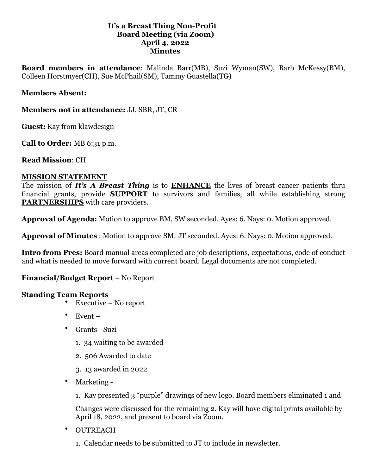### **It's a Breast Thing Non-Profit Board Meeting (via Zoom) April 4, 2022 Minutes**

**Board members in attendance**: Malinda Barr(MB), Suzi Wyman(SW), Barb McKessy(BM), Colleen Horstmyer(CH), Sue McPhail(SM), Tammy Guastella(TG)

## **Members Absent:**

**Members not in attendance:** JJ, SBR, JT, CR

**Guest:** Kay from klawdesign

**Call to Order:** MB 6:31 p.m.

**Read Mission**: CH

#### **MISSION STATEMENT**

The mission of *It's A Breast Thing* is to **ENHANCE** the lives of breast cancer patients thru financial grants, provide **SUPPORT** to survivors and families, all while establishing strong **PARTNERSHIPS** with care providers.

**Approval of Agenda:** Motion to approve BM, SW seconded. Ayes: 6. Nays: 0. Motion approved.

**Approval of Minutes** : Motion to approve SM. JT seconded. Ayes: 6. Nays: 0. Motion approved.

**Intro from Pres:** Board manual areas completed are job descriptions, expectations, code of conduct and what is needed to move forward with current board. Legal documents are not completed.

# **Financial/Budget Report** – No Report

#### **Standing Team Reports**

- Executive No report
- Event –
- Grants Suzi
	- 1. 34 waiting to be awarded
	- 2. 506 Awarded to date
	- 3. 13 awarded in 2022
- Marketing
	- 1. Kay presented 3 "purple" drawings of new logo. Board members eliminated 1 and

Changes were discussed for the remaining 2. Kay will have digital prints available by April 18, 2022, and present to board via Zoom.

- OUTREACH
	- 1. Calendar needs to be submitted to JT to include in newsletter.